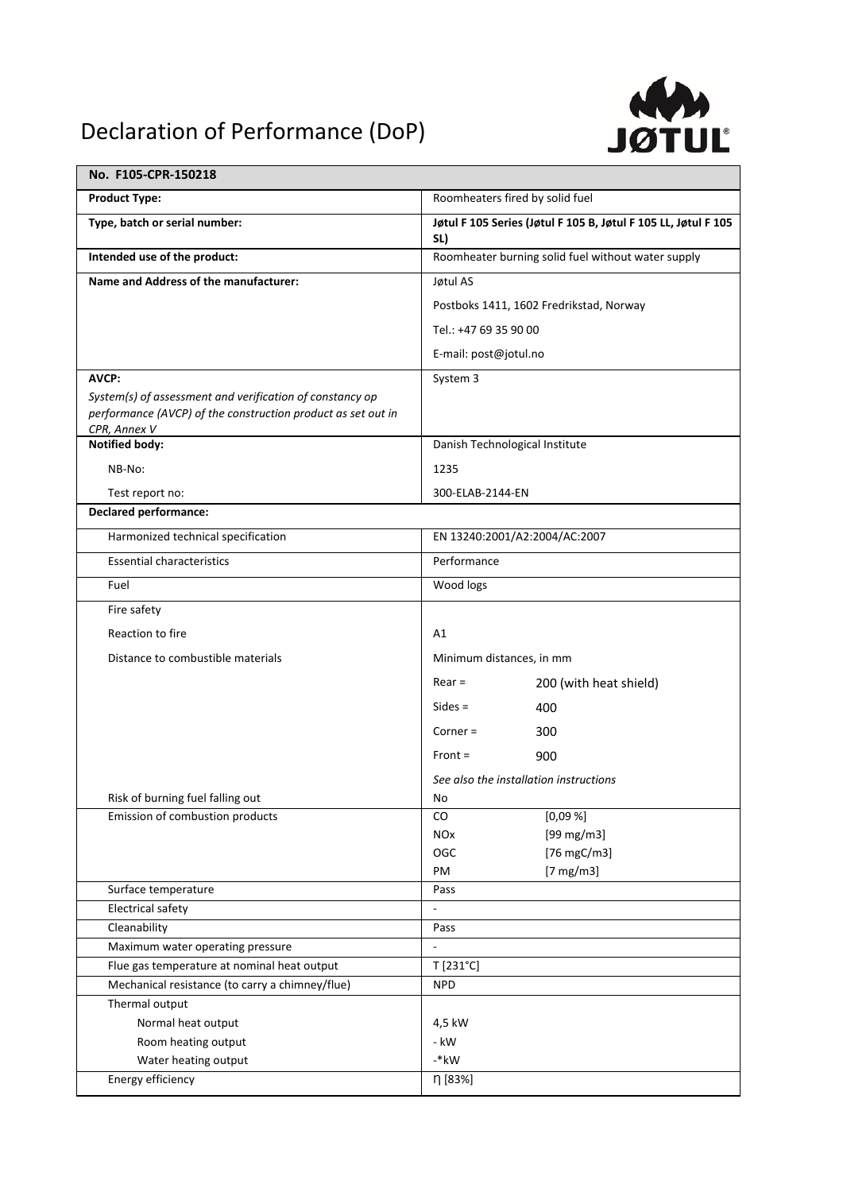## Declaration of Performance (DoP)



| No. F105-CPR-150218                                                                                                      |                                                                       |
|--------------------------------------------------------------------------------------------------------------------------|-----------------------------------------------------------------------|
| <b>Product Type:</b>                                                                                                     | Roomheaters fired by solid fuel                                       |
| Type, batch or serial number:                                                                                            | Jøtul F 105 Series (Jøtul F 105 B, Jøtul F 105 LL, Jøtul F 105<br>SL) |
| Intended use of the product:                                                                                             | Roomheater burning solid fuel without water supply                    |
| Name and Address of the manufacturer:                                                                                    | Jøtul AS                                                              |
|                                                                                                                          | Postboks 1411, 1602 Fredrikstad, Norway                               |
|                                                                                                                          | Tel.: +47 69 35 90 00                                                 |
|                                                                                                                          |                                                                       |
|                                                                                                                          | E-mail: post@jotul.no                                                 |
| AVCP:                                                                                                                    | System 3                                                              |
| System(s) of assessment and verification of constancy op<br>performance (AVCP) of the construction product as set out in |                                                                       |
| CPR, Annex V                                                                                                             |                                                                       |
| <b>Notified body:</b>                                                                                                    | Danish Technological Institute                                        |
| NB-No:                                                                                                                   | 1235                                                                  |
| Test report no:                                                                                                          | 300-ELAB-2144-EN                                                      |
| <b>Declared performance:</b>                                                                                             |                                                                       |
| Harmonized technical specification                                                                                       | EN 13240:2001/A2:2004/AC:2007                                         |
| <b>Essential characteristics</b>                                                                                         | Performance                                                           |
| Fuel                                                                                                                     | Wood logs                                                             |
| Fire safety                                                                                                              |                                                                       |
| Reaction to fire                                                                                                         | Α1                                                                    |
| Distance to combustible materials                                                                                        | Minimum distances, in mm                                              |
|                                                                                                                          | $Rear =$<br>200 (with heat shield)                                    |
|                                                                                                                          | $Sides =$                                                             |
|                                                                                                                          | 400                                                                   |
|                                                                                                                          | $Corner =$<br>300                                                     |
|                                                                                                                          | $Front =$<br>900                                                      |
|                                                                                                                          | See also the installation instructions                                |
| Risk of burning fuel falling out                                                                                         | No                                                                    |
| Emission of combustion products                                                                                          | [0,09%]<br>CO                                                         |
|                                                                                                                          | $[99 \text{ mg/m3}]$<br><b>NO<sub>x</sub></b>                         |
|                                                                                                                          | [76 mgC/m3]<br>OGC<br>PM<br>$[7 \text{ mg/m3}]$                       |
| Surface temperature                                                                                                      | Pass                                                                  |
| <b>Electrical safety</b>                                                                                                 | $\overline{a}$                                                        |
| Cleanability                                                                                                             | Pass                                                                  |
| Maximum water operating pressure                                                                                         |                                                                       |
| Flue gas temperature at nominal heat output                                                                              | T [231°C]                                                             |
| Mechanical resistance (to carry a chimney/flue)                                                                          | <b>NPD</b>                                                            |
| Thermal output                                                                                                           |                                                                       |
| Normal heat output                                                                                                       | 4,5 kW                                                                |
| Room heating output                                                                                                      | - kW                                                                  |
| Water heating output                                                                                                     | $-kw$                                                                 |
| Energy efficiency                                                                                                        | η [83%]                                                               |